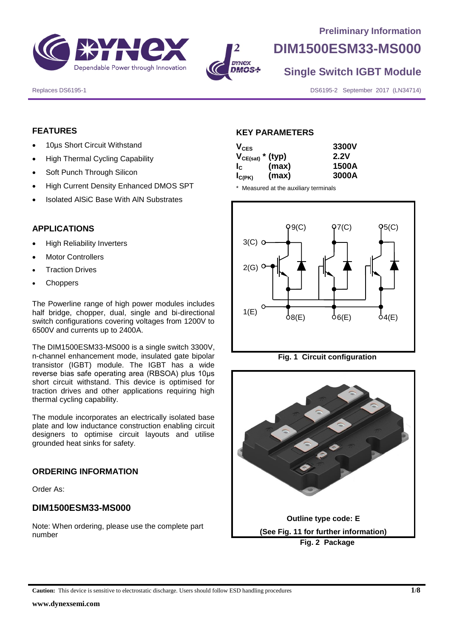



# **DIM1500ESM33-MS000**

**Single Switch IGBT Module**

Replaces DS6195-1 DS6195-1 DS6195-2 September 2017 (LN34714)

## **FEATURES**

- 10µs Short Circuit Withstand
- High Thermal Cycling Capability
- Soft Punch Through Silicon
- High Current Density Enhanced DMOS SPT
- Isolated AlSiC Base With AlN Substrates

#### **APPLICATIONS**

- High Reliability Inverters
- Motor Controllers
- Traction Drives
- Choppers

The Powerline range of high power modules includes half bridge, chopper, dual, single and bi-directional switch configurations covering voltages from 1200V to 6500V and currents up to 2400A.

The DIM1500ESM33-MS000 is a single switch 3300V, n-channel enhancement mode, insulated gate bipolar transistor (IGBT) module. The IGBT has a wide reverse bias safe operating area (RBSOA) plus 10μs short circuit withstand. This device is optimised for traction drives and other applications requiring high thermal cycling capability.

The module incorporates an electrically isolated base plate and low inductance construction enabling circuit designers to optimise circuit layouts and utilise grounded heat sinks for safety.

#### **ORDERING INFORMATION**

Order As:

#### **DIM1500ESM33-MS000**

Note: When ordering, please use the complete part number

#### **KEY PARAMETERS**

| $V_{CES}$             |       | 3300V |
|-----------------------|-------|-------|
| $V_{CE(sat)}$ * (typ) |       | 2.2V  |
| $I_{\rm C}$           | (max) | 1500A |
| $I_{C(PK)}$           | (max) | 3000A |

\* Measured at the auxiliary terminals







**Caution:** This device is sensitive to electrostatic discharge. Users should follow ESD handling procedures **1/8**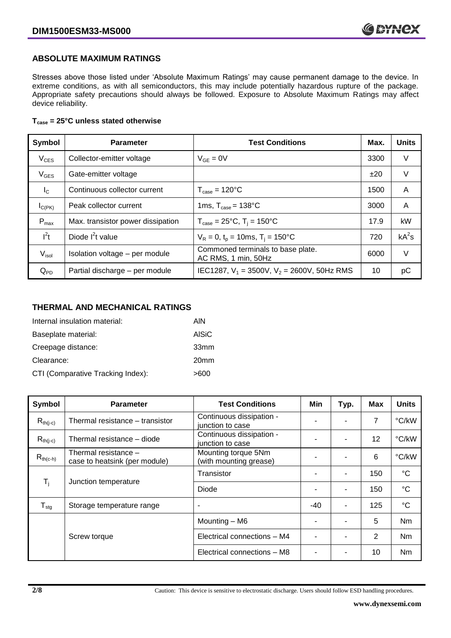## **ABSOLUTE MAXIMUM RATINGS**

Stresses above those listed under 'Absolute Maximum Ratings' may cause permanent damage to the device. In extreme conditions, as with all semiconductors, this may include potentially hazardous rupture of the package. Appropriate safety precautions should always be followed. Exposure to Absolute Maximum Ratings may affect device reliability.

#### **Tcase = 25°C unless stated otherwise**

| Symbol           | <b>Parameter</b>                  | <b>Test Conditions</b>                                   | Max. | <b>Units</b> |
|------------------|-----------------------------------|----------------------------------------------------------|------|--------------|
| $V_{CES}$        | Collector-emitter voltage         | $V_{GF} = 0V$                                            | 3300 | V            |
| $V_{GES}$        | Gate-emitter voltage              |                                                          | ±20  | V            |
| $I_{\rm C}$      | Continuous collector current      | $T_{\text{case}} = 120^{\circ}C$                         | 1500 | A            |
| $I_{C(PK)}$      | Peak collector current            | 1ms, $T_{\text{case}} = 138^{\circ}$ C                   | 3000 | A            |
| $P_{\text{max}}$ | Max. transistor power dissipation | $T_{\text{case}} = 25^{\circ}C$ , $T_i = 150^{\circ}C$   | 17.9 | kW           |
| $l^2t$           | Diode $I^2t$ value                | $V_R = 0$ , $t_p = 10$ ms, $T_i = 150^{\circ}$ C         | 720  | $kA^2s$      |
| $V_{\sf isol}$   | Isolation voltage - per module    | Commoned terminals to base plate.<br>AC RMS, 1 min, 50Hz | 6000 | $\vee$       |
| $Q_{PD}$         | Partial discharge - per module    | IEC1287, $V_1$ = 3500V, $V_2$ = 2600V, 50Hz RMS          | 10   | рC           |

#### **THERMAL AND MECHANICAL RATINGS**

| Internal insulation material:     | AIN              |
|-----------------------------------|------------------|
| Baseplate material:               | <b>AISiC</b>     |
| Creepage distance:                | 33mm             |
| Clearance:                        | 20 <sub>mm</sub> |
| CTI (Comparative Tracking Index): | >600             |

| Symbol                     | <b>Parameter</b>                                      | <b>Test Conditions</b>                        | Min   | Typ. | Max | <b>Units</b>    |
|----------------------------|-------------------------------------------------------|-----------------------------------------------|-------|------|-----|-----------------|
| $R_{th(j-c)}$              | Thermal resistance - transistor                       | Continuous dissipation -<br>junction to case  |       |      | 7   | °C/kW           |
| $R_{th(j-c)}$              | Thermal resistance - diode                            | Continuous dissipation -<br>junction to case  |       |      | 12  | °C/kW           |
| $R_{th(c-h)}$              | Thermal resistance -<br>case to heatsink (per module) | Mounting torque 5Nm<br>(with mounting grease) | -     | ۰    | 6   | °C/kW           |
| $T_i$                      |                                                       | Transistor                                    |       | ٠    | 150 | $^{\circ}C$     |
|                            | Junction temperature                                  | Diode                                         |       |      | 150 | $\rm ^{\circ}C$ |
| ${\mathsf T}_{\text{stg}}$ | Storage temperature range                             | $\overline{\phantom{a}}$                      | $-40$ | ٠    | 125 | $^{\circ}C$     |
|                            |                                                       | Mounting - M6                                 |       | ۰    | 5   | Nm              |
|                            | Screw torque                                          | Electrical connections - M4                   |       |      | 2   | N <sub>m</sub>  |
|                            |                                                       | Electrical connections - M8                   |       |      | 10  | Nm              |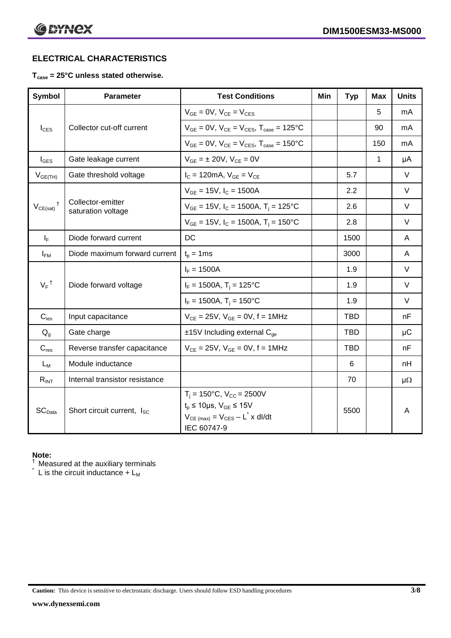# **ELECTRICAL CHARACTERISTICS**

## **Tcase = 25°C unless stated otherwise.**

| <b>Symbol</b>              | <b>Parameter</b>                        | <b>Test Conditions</b>                                                                                                                                   | Min | <b>Typ</b> | Max | <b>Units</b> |
|----------------------------|-----------------------------------------|----------------------------------------------------------------------------------------------------------------------------------------------------------|-----|------------|-----|--------------|
|                            |                                         | $V_{GE} = 0V$ , $V_{CE} = V_{CES}$                                                                                                                       |     |            | 5   | mA           |
| $I_{\text{CES}}$           | Collector cut-off current               | $V_{GF} = 0V$ , $V_{CE} = V_{CES}$ , $T_{case} = 125$ °C                                                                                                 |     |            | 90  | mA           |
|                            |                                         | $V_{GF} = 0V$ , $V_{CF} = V_{CES}$ , $T_{case} = 150^{\circ}C$                                                                                           |     |            | 150 | mA           |
| $I_{\text{GES}}$           | Gate leakage current                    | $V_{GE} = \pm 20V$ , $V_{CE} = 0V$                                                                                                                       |     |            | 1   | μA           |
| $V_{GE(TH)}$               | Gate threshold voltage                  | $I_{C} = 120 \text{mA}, V_{GE} = V_{CE}$                                                                                                                 |     | 5.7        |     | $\vee$       |
|                            |                                         | $V_{GF}$ = 15V, $I_C$ = 1500A                                                                                                                            |     | 2.2        |     | $\vee$       |
| $V_{CE(sat)}$ <sup>†</sup> | Collector-emitter<br>saturation voltage | $V_{GE}$ = 15V, $I_C$ = 1500A, $T_i$ = 125°C                                                                                                             |     | 2.6        |     | $\vee$       |
|                            |                                         | $V_{GE}$ = 15V, $I_C$ = 1500A, $T_i$ = 150°C                                                                                                             |     | 2.8        |     | $\vee$       |
| $I_F$                      | Diode forward current                   | DC                                                                                                                                                       |     | 1500       |     | A            |
| $I_{FM}$                   | Diode maximum forward current           | $t_p = 1$ ms                                                                                                                                             |     | 3000       |     | A            |
|                            |                                         | $I_F = 1500A$                                                                                                                                            |     | 1.9        |     | $\vee$       |
| $V_F$ <sup>†</sup>         | Diode forward voltage                   | $I_F = 1500A$ , $T_i = 125^{\circ}C$                                                                                                                     |     | 1.9        |     | $\vee$       |
|                            |                                         | $I_F = 1500A$ , $T_i = 150^{\circ}C$                                                                                                                     |     | 1.9        |     | $\vee$       |
| $C_{\text{ies}}$           | Input capacitance                       | $V_{CE} = 25V$ , $V_{GE} = 0V$ , $f = 1MHz$                                                                                                              |     | <b>TBD</b> |     | nF           |
| $Q_q$                      | Gate charge                             | $±15V$ Including external $C_{qe}$                                                                                                                       |     | <b>TBD</b> |     | $\mu$ C      |
| $C_{res}$                  | Reverse transfer capacitance            | $V_{CE} = 25V$ , $V_{GE} = 0V$ , $f = 1MHz$                                                                                                              |     | TBD        |     | nF           |
| $L_M$                      | Module inductance                       |                                                                                                                                                          |     | 6          |     | nH           |
| $R_{INT}$                  | Internal transistor resistance          |                                                                                                                                                          |     | 70         |     | $\mu\Omega$  |
| SC <sub>Data</sub>         | Short circuit current, I <sub>SC</sub>  | $T_i = 150^{\circ}C$ , $V_{CC} = 2500V$<br>$t_p \le 10 \mu s$ , $V_{GE} \le 15V$<br>$V_{CE \ (max)} = V_{CES} - L^{\dagger} \times dl/dt$<br>IEC 60747-9 |     | 5500       |     | A            |

#### **Note:**

 $\dagger$  Measured at the auxiliary terminals

 $\check{}$  L is the circuit inductance + L<sub>M</sub>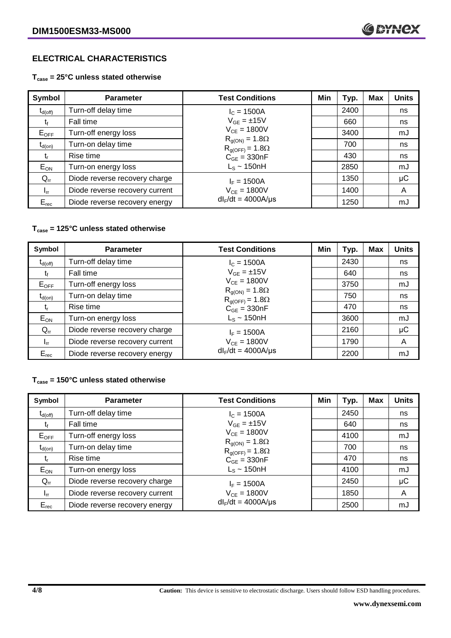# **ELECTRICAL CHARACTERISTICS**

**Tcase = 25°C unless stated otherwise**

| Symbol              | <b>Parameter</b>               | <b>Test Conditions</b>                              | Min | Typ. | <b>Max</b> | <b>Units</b> |
|---------------------|--------------------------------|-----------------------------------------------------|-----|------|------------|--------------|
| $t_{d(\text{off})}$ | Turn-off delay time            | $I_c = 1500A$                                       |     | 2400 |            | ns           |
| Ţŧ                  | Fall time                      | $V_{GF} = \pm 15V$                                  |     | 660  |            | ns           |
| $E_{OFF}$           | Turn-off energy loss           | $V_{CF} = 1800V$                                    |     | 3400 |            | mJ           |
| $t_{d(on)}$         | Turn-on delay time             | $R_{g(ON)} = 1.8\Omega$<br>$R_{g(OFF)} = 1.8\Omega$ |     | 700  |            | ns           |
| t,                  | Rise time                      | $C_{GE} = 330nF$                                    |     | 430  |            | ns           |
| $E_{ON}$            | Turn-on energy loss            | $L_s \sim 150$ nH                                   |     | 2850 |            | mJ           |
| $Q_{rr}$            | Diode reverse recovery charge  | $I_F = 1500A$                                       |     | 1350 |            | $\mu$ C      |
| $I_{rr}$            | Diode reverse recovery current | $V_{CE} = 1800V$                                    |     | 1400 |            | A            |
| $E_{rec}$           | Diode reverse recovery energy  | $dl_F/dt = 4000A/\mu s$                             |     | 1250 |            | mJ           |

#### **Tcase = 125°C unless stated otherwise**

| Symbol       | <b>Parameter</b>               | <b>Test Conditions</b>                              | Min | Typ. | <b>Max</b> | <b>Units</b> |
|--------------|--------------------------------|-----------------------------------------------------|-----|------|------------|--------------|
| $t_{d(off)}$ | Turn-off delay time            | $I_c = 1500A$                                       |     | 2430 |            | ns           |
| t,           | Fall time                      | $V_{GE} = \pm 15V$                                  |     | 640  |            | ns           |
| $E_{OFF}$    | Turn-off energy loss           | $V_{CE} = 1800V$                                    |     | 3750 |            | mJ           |
| $t_{d(on)}$  | Turn-on delay time             | $R_{g(ON)} = 1.8\Omega$<br>$R_{g(OFF)} = 1.8\Omega$ |     | 750  |            | ns           |
| t,           | Rise time                      | $C_{GE}$ = 330nF                                    |     | 470  |            | ns           |
| $E_{ON}$     | Turn-on energy loss            | $L_s \sim 150$ nH                                   |     | 3600 |            | mJ           |
| $Q_{rr}$     | Diode reverse recovery charge  | $I_F = 1500A$                                       |     | 2160 |            | μC           |
| $I_{rr}$     | Diode reverse recovery current | $V_{CE} = 1800V$                                    |     | 1790 |            | A            |
| $E_{rec}$    | Diode reverse recovery energy  | $dl_F/dt = 4000A/\mu s$                             |     | 2200 |            | mJ           |

### **Tcase = 150°C unless stated otherwise**

| Symbol       | <b>Parameter</b>               | <b>Test Conditions</b>                              | Min | Typ. | Max | <b>Units</b> |
|--------------|--------------------------------|-----------------------------------------------------|-----|------|-----|--------------|
| $t_{d(off)}$ | Turn-off delay time            | $I_c = 1500A$                                       |     | 2450 |     | ns           |
|              | Fall time                      | $V_{GF} = \pm 15V$                                  |     | 640  |     | ns           |
| $E_{OFF}$    | Turn-off energy loss           | $V_{CF} = 1800V$                                    |     | 4100 |     | mJ           |
| $t_{d(on)}$  | Turn-on delay time             | $R_{g(ON)} = 1.8\Omega$<br>$R_{g(OFF)} = 1.8\Omega$ |     | 700  |     | ns           |
| t,           | Rise time                      | $C_{GE} = 330nF$                                    |     | 470  |     | ns           |
| $E_{ON}$     | Turn-on energy loss            | $L_s \sim 150$ nH                                   |     | 4100 |     | mJ           |
| $Q_{rr}$     | Diode reverse recovery charge  | $I_F = 1500A$                                       |     | 2450 |     | μC           |
| $I_{rr}$     | Diode reverse recovery current | $V_{CE} = 1800V$                                    |     | 1850 |     | A            |
| $E_{rec}$    | Diode reverse recovery energy  | $dl_F/dt = 4000A/\mu s$                             |     | 2500 |     | mJ           |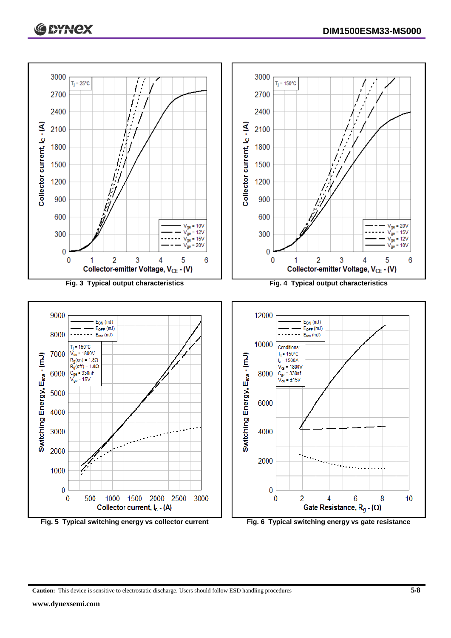



**Caution:** This device is sensitive to electrostatic discharge. Users should follow ESD handling procedures **5/8**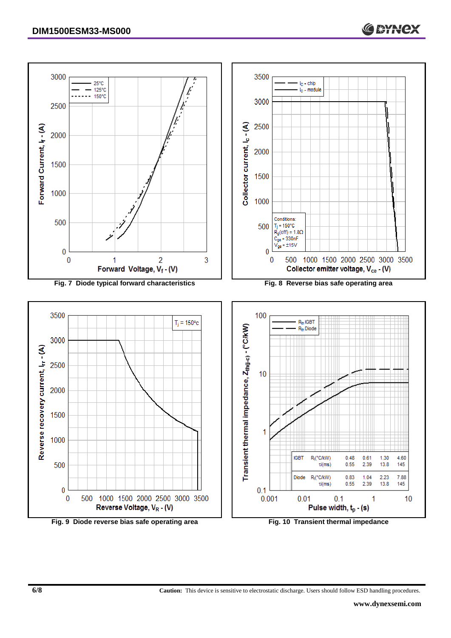

**Fig. 9 Diode reverse bias safe operating area Fig. 10 Transient thermal impedance**

**CAYNEX**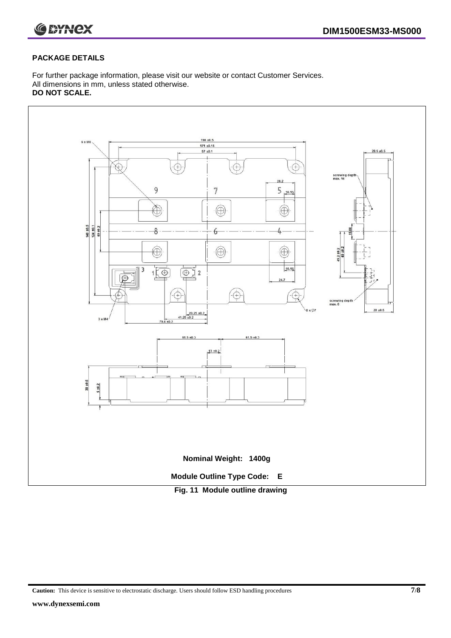

#### **PACKAGE DETAILS**

For further package information, please visit our website or contact Customer Services. All dimensions in mm, unless stated otherwise. **DO NOT SCALE.**



**Caution:** This device is sensitive to electrostatic discharge. Users should follow ESD handling procedures **7/8**